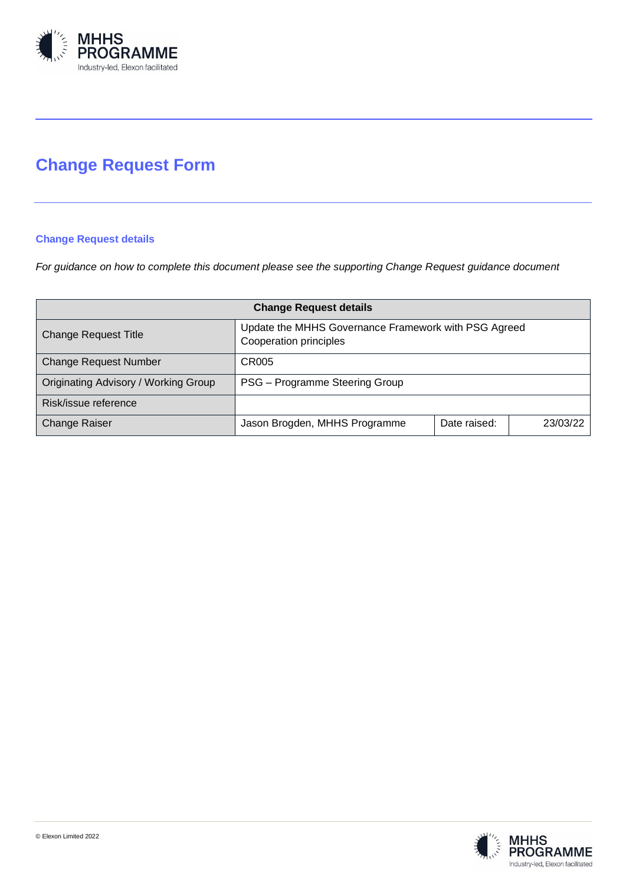

# **Change Request Form**

# **Change Request details**

*For guidance on how to complete this document please see the supporting Change Request guidance document*

| <b>Change Request details</b>        |                                                                                |              |          |
|--------------------------------------|--------------------------------------------------------------------------------|--------------|----------|
| <b>Change Request Title</b>          | Update the MHHS Governance Framework with PSG Agreed<br>Cooperation principles |              |          |
| <b>Change Request Number</b>         | CR005                                                                          |              |          |
| Originating Advisory / Working Group | PSG - Programme Steering Group                                                 |              |          |
| Risk/issue reference                 |                                                                                |              |          |
| <b>Change Raiser</b>                 | Jason Brogden, MHHS Programme                                                  | Date raised: | 23/03/22 |

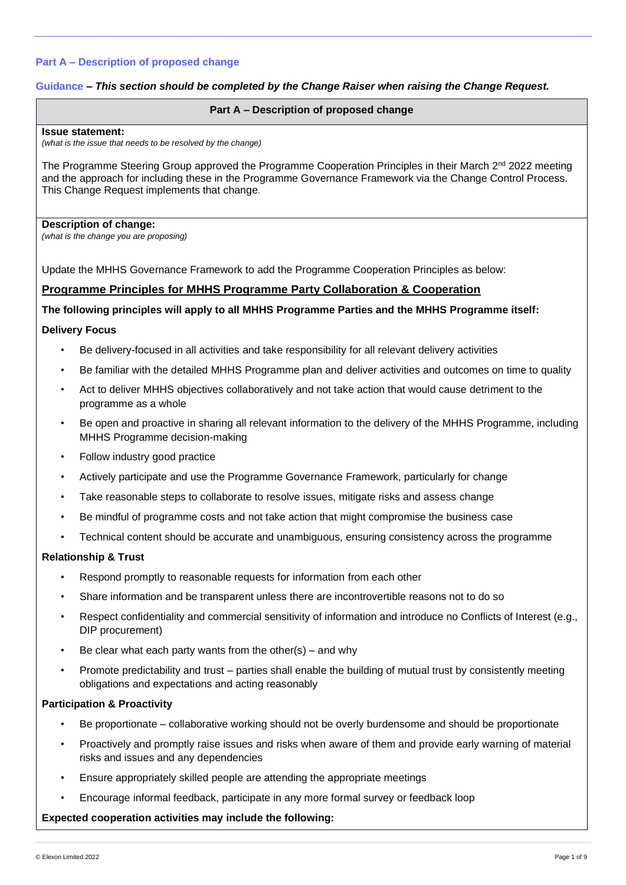#### **Guidance** *– This section should be completed by the Change Raiser when raising the Change Request.*

#### **Part A – Description of proposed change**

#### **Issue statement:**

*(what is the issue that needs to be resolved by the change)*

The Programme Steering Group approved the Programme Cooperation Principles in their March 2<sup>nd</sup> 2022 meeting and the approach for including these in the Programme Governance Framework via the Change Control Process. This Change Request implements that change.

#### **Description of change:**

*(what is the change you are proposing)*

Update the MHHS Governance Framework to add the Programme Cooperation Principles as below:

# **Programme Principles for MHHS Programme Party Collaboration & Cooperation**

#### **The following principles will apply to all MHHS Programme Parties and the MHHS Programme itself:**

#### **Delivery Focus**

- Be delivery-focused in all activities and take responsibility for all relevant delivery activities
- Be familiar with the detailed MHHS Programme plan and deliver activities and outcomes on time to quality
- Act to deliver MHHS objectives collaboratively and not take action that would cause detriment to the programme as a whole
- Be open and proactive in sharing all relevant information to the delivery of the MHHS Programme, including MHHS Programme decision-making
- Follow industry good practice
- Actively participate and use the Programme Governance Framework, particularly for change
- Take reasonable steps to collaborate to resolve issues, mitigate risks and assess change
- Be mindful of programme costs and not take action that might compromise the business case
- Technical content should be accurate and unambiguous, ensuring consistency across the programme

#### **Relationship & Trust**

- Respond promptly to reasonable requests for information from each other
- Share information and be transparent unless there are incontrovertible reasons not to do so
- Respect confidentiality and commercial sensitivity of information and introduce no Conflicts of Interest (e.g., DIP procurement)
- Be clear what each party wants from the other(s) and why
- Promote predictability and trust parties shall enable the building of mutual trust by consistently meeting obligations and expectations and acting reasonably

# **Participation & Proactivity**

- Be proportionate collaborative working should not be overly burdensome and should be proportionate
- Proactively and promptly raise issues and risks when aware of them and provide early warning of material risks and issues and any dependencies
- Ensure appropriately skilled people are attending the appropriate meetings
- Encourage informal feedback, participate in any more formal survey or feedback loop

#### **Expected cooperation activities may include the following:**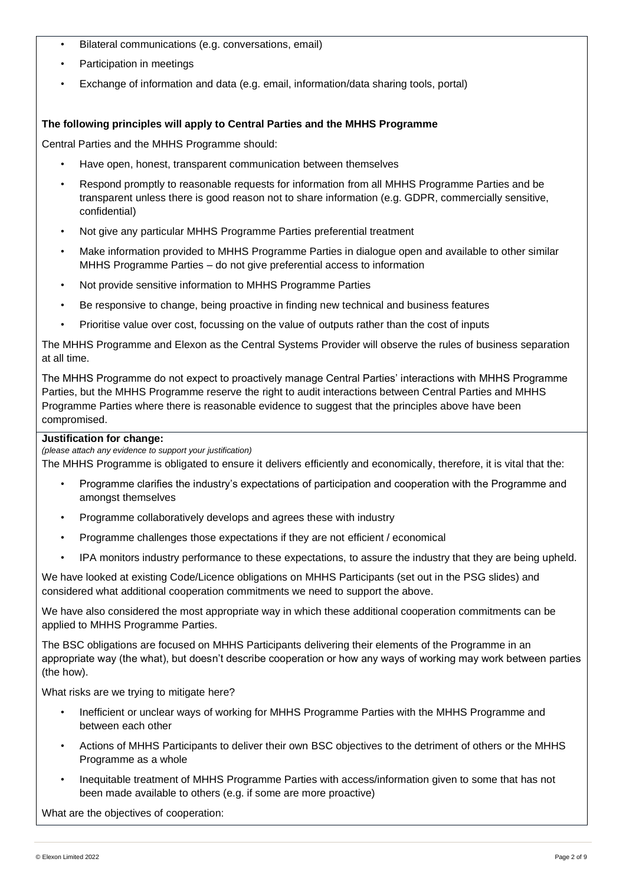- Bilateral communications (e.g. conversations, email)
- Participation in meetings
- Exchange of information and data (e.g. email, information/data sharing tools, portal)

# **The following principles will apply to Central Parties and the MHHS Programme**

Central Parties and the MHHS Programme should:

- Have open, honest, transparent communication between themselves
- Respond promptly to reasonable requests for information from all MHHS Programme Parties and be transparent unless there is good reason not to share information (e.g. GDPR, commercially sensitive, confidential)
- Not give any particular MHHS Programme Parties preferential treatment
- Make information provided to MHHS Programme Parties in dialogue open and available to other similar MHHS Programme Parties – do not give preferential access to information
- Not provide sensitive information to MHHS Programme Parties
- Be responsive to change, being proactive in finding new technical and business features
- Prioritise value over cost, focussing on the value of outputs rather than the cost of inputs

The MHHS Programme and Elexon as the Central Systems Provider will observe the rules of business separation at all time.

The MHHS Programme do not expect to proactively manage Central Parties' interactions with MHHS Programme Parties, but the MHHS Programme reserve the right to audit interactions between Central Parties and MHHS Programme Parties where there is reasonable evidence to suggest that the principles above have been compromised.

## **Justification for change:**

*(please attach any evidence to support your justification)*

The MHHS Programme is obligated to ensure it delivers efficiently and economically, therefore, it is vital that the:

- Programme clarifies the industry's expectations of participation and cooperation with the Programme and amongst themselves
- Programme collaboratively develops and agrees these with industry
- Programme challenges those expectations if they are not efficient / economical
- IPA monitors industry performance to these expectations, to assure the industry that they are being upheld.

We have looked at existing Code/Licence obligations on MHHS Participants (set out in the PSG slides) and considered what additional cooperation commitments we need to support the above.

We have also considered the most appropriate way in which these additional cooperation commitments can be applied to MHHS Programme Parties.

The BSC obligations are focused on MHHS Participants delivering their elements of the Programme in an appropriate way (the what), but doesn't describe cooperation or how any ways of working may work between parties (the how).

What risks are we trying to mitigate here?

- Inefficient or unclear ways of working for MHHS Programme Parties with the MHHS Programme and between each other
- Actions of MHHS Participants to deliver their own BSC objectives to the detriment of others or the MHHS Programme as a whole
- Inequitable treatment of MHHS Programme Parties with access/information given to some that has not been made available to others (e.g. if some are more proactive)

What are the objectives of cooperation: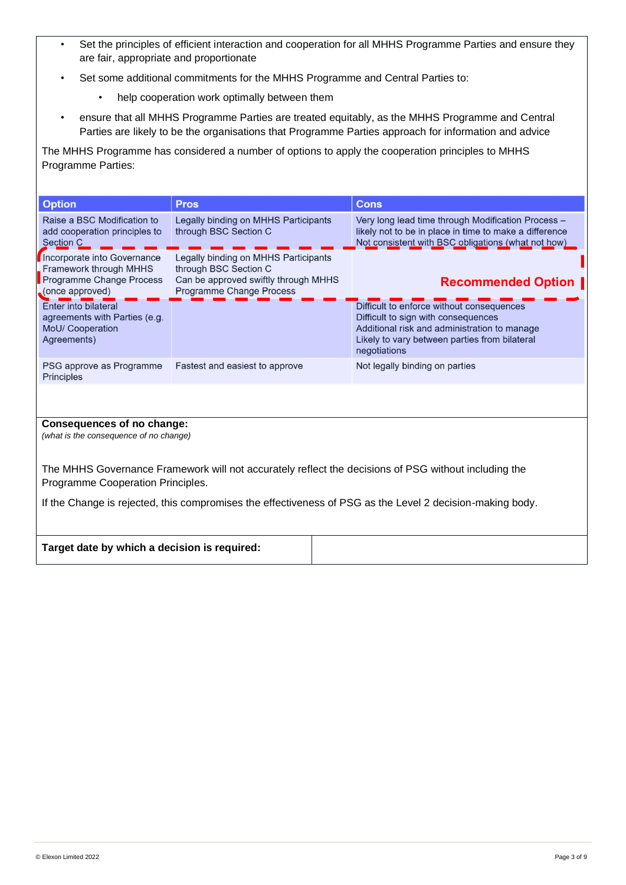- Set the principles of efficient interaction and cooperation for all MHHS Programme Parties and ensure they are fair, appropriate and proportionate
- Set some additional commitments for the MHHS Programme and Central Parties to:
	- help cooperation work optimally between them
- ensure that all MHHS Programme Parties are treated equitably, as the MHHS Programme and Central Parties are likely to be the organisations that Programme Parties approach for information and advice

The MHHS Programme has considered a number of options to apply the cooperation principles to MHHS Programme Parties:

| <b>Option</b>                                                                                                                             | <b>Pros</b>                                                                                                                       | <b>Cons</b>                                                                                                                                                                                       |  |  |
|-------------------------------------------------------------------------------------------------------------------------------------------|-----------------------------------------------------------------------------------------------------------------------------------|---------------------------------------------------------------------------------------------------------------------------------------------------------------------------------------------------|--|--|
| Raise a BSC Modification to<br>add cooperation principles to<br><b>Section C</b>                                                          | Legally binding on MHHS Participants<br>through BSC Section C                                                                     | Very long lead time through Modification Process -<br>likely not to be in place in time to make a difference<br>Not consistent with BSC obligations (what not how)                                |  |  |
| Incorporate into Governance<br>Framework through MHHS<br>Programme Change Process<br>(once approved)                                      | Legally binding on MHHS Participants<br>through BSC Section C<br>Can be approved swiftly through MHHS<br>Programme Change Process | <b>Recommended Option  </b>                                                                                                                                                                       |  |  |
| Enter into bilateral<br>agreements with Parties (e.g.<br>MoU/ Cooperation<br>Agreements)                                                  |                                                                                                                                   | Difficult to enforce without consequences<br>Difficult to sign with consequences<br>Additional risk and administration to manage<br>Likely to vary between parties from bilateral<br>negotiations |  |  |
| PSG approve as Programme<br>Principles                                                                                                    | Fastest and easiest to approve                                                                                                    | Not legally binding on parties                                                                                                                                                                    |  |  |
|                                                                                                                                           |                                                                                                                                   |                                                                                                                                                                                                   |  |  |
| Consequences of no change:<br>(what is the consequence of no change)                                                                      |                                                                                                                                   |                                                                                                                                                                                                   |  |  |
| The MHHS Governance Framework will not accurately reflect the decisions of PSG without including the<br>Programme Cooperation Principles. |                                                                                                                                   |                                                                                                                                                                                                   |  |  |
| If the Change is rejected, this compromises the effectiveness of PSG as the Level 2 decision-making body.                                 |                                                                                                                                   |                                                                                                                                                                                                   |  |  |

| Target date by which a decision is required: |  |
|----------------------------------------------|--|
|                                              |  |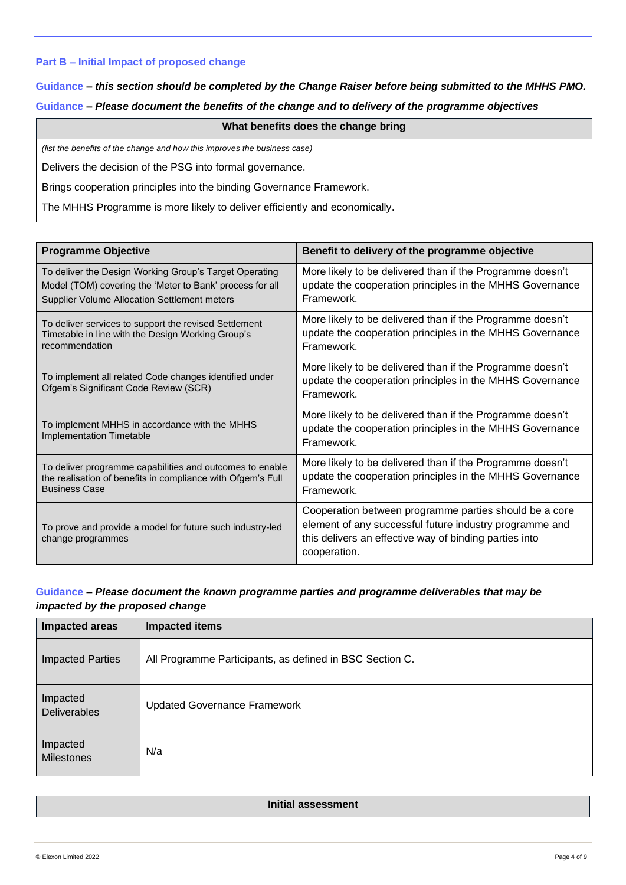#### **Part B – Initial Impact of proposed change**

# **Guidance** *– this section should be completed by the Change Raiser before being submitted to the MHHS PMO.*  **Guidance** *– Please document the benefits of the change and to delivery of the programme objectives*

#### **What benefits does the change bring**

*(list the benefits of the change and how this improves the business case)*

Delivers the decision of the PSG into formal governance.

Brings cooperation principles into the binding Governance Framework.

The MHHS Programme is more likely to deliver efficiently and economically.

| <b>Programme Objective</b>                                                                                                                                         | Benefit to delivery of the programme objective                                                                                                                                              |
|--------------------------------------------------------------------------------------------------------------------------------------------------------------------|---------------------------------------------------------------------------------------------------------------------------------------------------------------------------------------------|
| To deliver the Design Working Group's Target Operating<br>Model (TOM) covering the 'Meter to Bank' process for all<br>Supplier Volume Allocation Settlement meters | More likely to be delivered than if the Programme doesn't<br>update the cooperation principles in the MHHS Governance<br>Framework.                                                         |
| To deliver services to support the revised Settlement<br>Timetable in line with the Design Working Group's<br>recommendation                                       | More likely to be delivered than if the Programme doesn't<br>update the cooperation principles in the MHHS Governance<br>Framework.                                                         |
| To implement all related Code changes identified under<br>Ofgem's Significant Code Review (SCR)                                                                    | More likely to be delivered than if the Programme doesn't<br>update the cooperation principles in the MHHS Governance<br>Framework.                                                         |
| To implement MHHS in accordance with the MHHS<br><b>Implementation Timetable</b>                                                                                   | More likely to be delivered than if the Programme doesn't<br>update the cooperation principles in the MHHS Governance<br>Framework.                                                         |
| To deliver programme capabilities and outcomes to enable<br>the realisation of benefits in compliance with Ofgem's Full<br><b>Business Case</b>                    | More likely to be delivered than if the Programme doesn't<br>update the cooperation principles in the MHHS Governance<br>Framework.                                                         |
| To prove and provide a model for future such industry-led<br>change programmes                                                                                     | Cooperation between programme parties should be a core<br>element of any successful future industry programme and<br>this delivers an effective way of binding parties into<br>cooperation. |

# **Guidance** *– Please document the known programme parties and programme deliverables that may be impacted by the proposed change*

| <b>Impacted areas</b>         | <b>Impacted items</b>                                    |
|-------------------------------|----------------------------------------------------------|
| <b>Impacted Parties</b>       | All Programme Participants, as defined in BSC Section C. |
| Impacted<br>Deliverables      | <b>Updated Governance Framework</b>                      |
| Impacted<br><b>Milestones</b> | N/a                                                      |

#### **Initial assessment**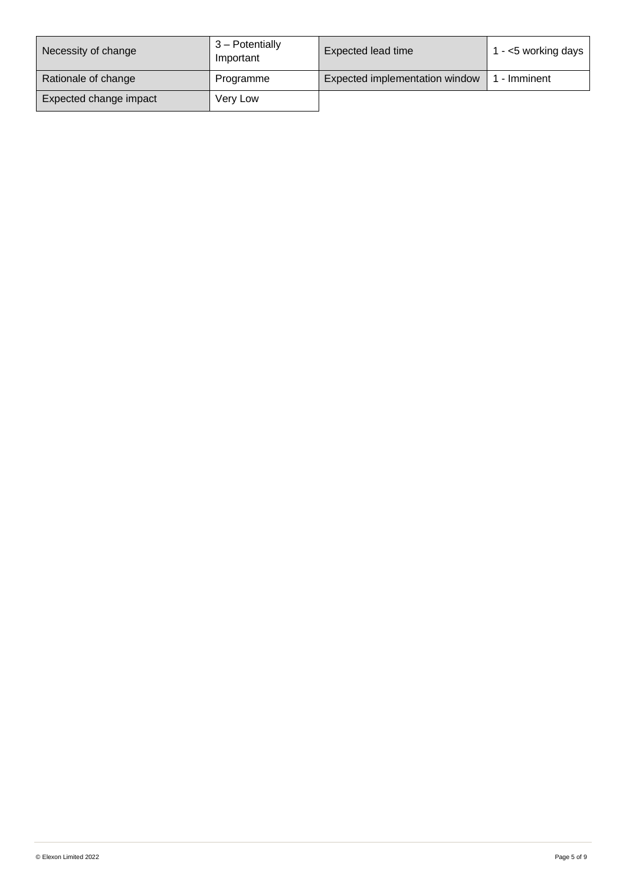| Necessity of change    | 3 - Potentially<br>Important | Expected lead time             | 1 - $<$ 5 working days |
|------------------------|------------------------------|--------------------------------|------------------------|
| Rationale of change    | Programme                    | Expected implementation window | - Imminent             |
| Expected change impact | Very Low                     |                                |                        |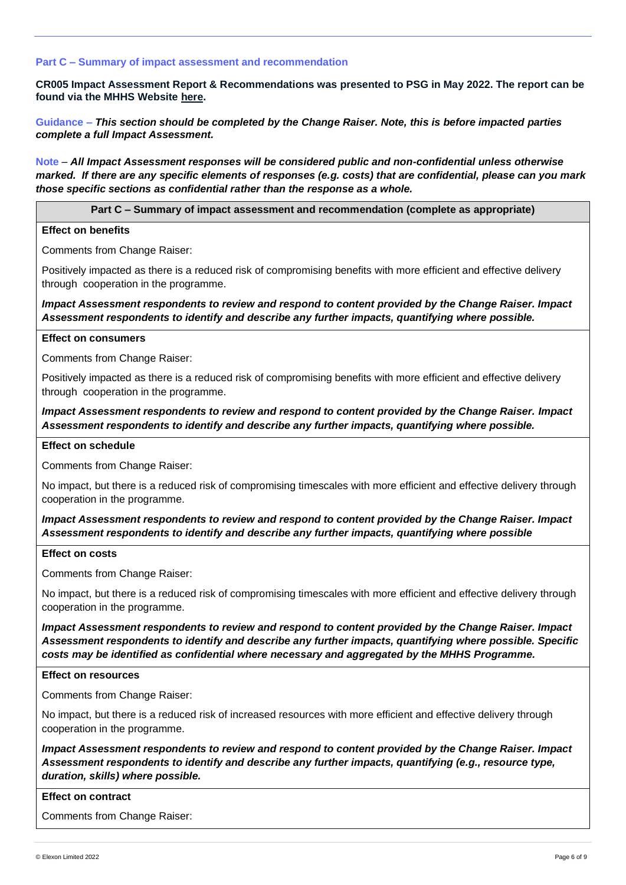#### **Part C – Summary of impact assessment and recommendation**

**CR005 Impact Assessment Report & Recommendations was presented to PSG in May 2022. The report can be found via the MHHS Website [here.](https://mhhsprogramme-production-cdn.s3.eu-west-2.amazonaws.com/wp-content/uploads/2022/05/10143328/MHHS-DEL382-PSG-04-May-2022-Attachment-1-CR005-Impact-Assessment-Responses-v1.0.pdf)** 

**Guidance –** *This section should be completed by the Change Raiser. Note, this is before impacted parties complete a full Impact Assessment.*

**Note** – *All Impact Assessment responses will be considered public and non-confidential unless otherwise marked. If there are any specific elements of responses (e.g. costs) that are confidential, please can you mark those specific sections as confidential rather than the response as a whole.*

**Part C – Summary of impact assessment and recommendation (complete as appropriate)**

#### **Effect on benefits**

Comments from Change Raiser:

Positively impacted as there is a reduced risk of compromising benefits with more efficient and effective delivery through cooperation in the programme.

*Impact Assessment respondents to review and respond to content provided by the Change Raiser. Impact Assessment respondents to identify and describe any further impacts, quantifying where possible.*

#### **Effect on consumers**

Comments from Change Raiser:

Positively impacted as there is a reduced risk of compromising benefits with more efficient and effective delivery through cooperation in the programme.

*Impact Assessment respondents to review and respond to content provided by the Change Raiser. Impact Assessment respondents to identify and describe any further impacts, quantifying where possible.*

#### **Effect on schedule**

Comments from Change Raiser:

No impact, but there is a reduced risk of compromising timescales with more efficient and effective delivery through cooperation in the programme.

# *Impact Assessment respondents to review and respond to content provided by the Change Raiser. Impact Assessment respondents to identify and describe any further impacts, quantifying where possible*

#### **Effect on costs**

Comments from Change Raiser:

No impact, but there is a reduced risk of compromising timescales with more efficient and effective delivery through cooperation in the programme.

*Impact Assessment respondents to review and respond to content provided by the Change Raiser. Impact Assessment respondents to identify and describe any further impacts, quantifying where possible. Specific costs may be identified as confidential where necessary and aggregated by the MHHS Programme.*

#### **Effect on resources**

Comments from Change Raiser:

No impact, but there is a reduced risk of increased resources with more efficient and effective delivery through cooperation in the programme.

*Impact Assessment respondents to review and respond to content provided by the Change Raiser. Impact Assessment respondents to identify and describe any further impacts, quantifying (e.g., resource type, duration, skills) where possible.*

#### **Effect on contract**

Comments from Change Raiser: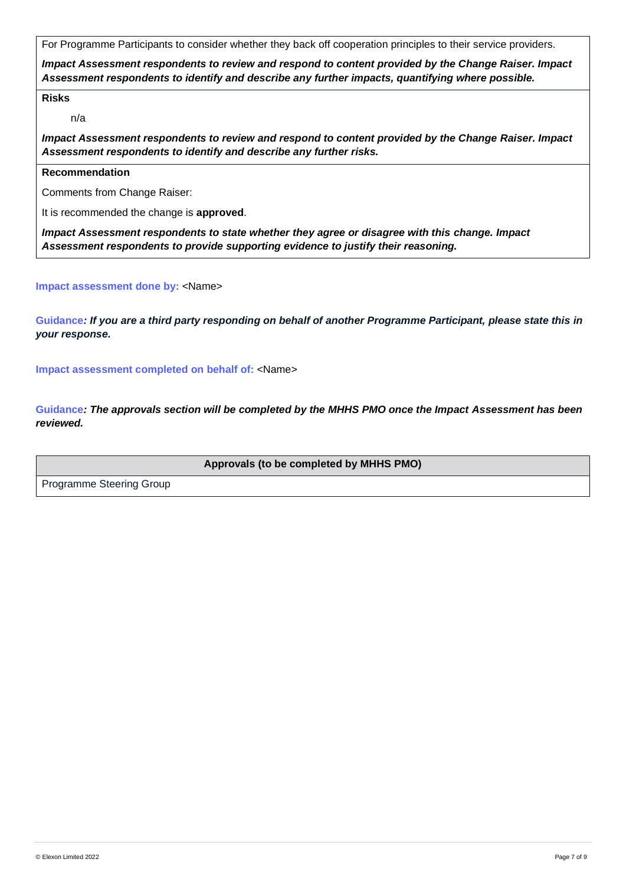For Programme Participants to consider whether they back off cooperation principles to their service providers.

*Impact Assessment respondents to review and respond to content provided by the Change Raiser. Impact Assessment respondents to identify and describe any further impacts, quantifying where possible.*

#### **Risks**

n/a

*Impact Assessment respondents to review and respond to content provided by the Change Raiser. Impact Assessment respondents to identify and describe any further risks.*

# **Recommendation**

Comments from Change Raiser:

It is recommended the change is **approved**.

*Impact Assessment respondents to state whether they agree or disagree with this change. Impact Assessment respondents to provide supporting evidence to justify their reasoning.*

#### **Impact assessment done by:** <Name>

**Guidance***: If you are a third party responding on behalf of another Programme Participant, please state this in your response.* 

**Impact assessment completed on behalf of:** <Name>

**Guidance***: The approvals section will be completed by the MHHS PMO once the Impact Assessment has been reviewed.*

**Approvals (to be completed by MHHS PMO)**

Programme Steering Group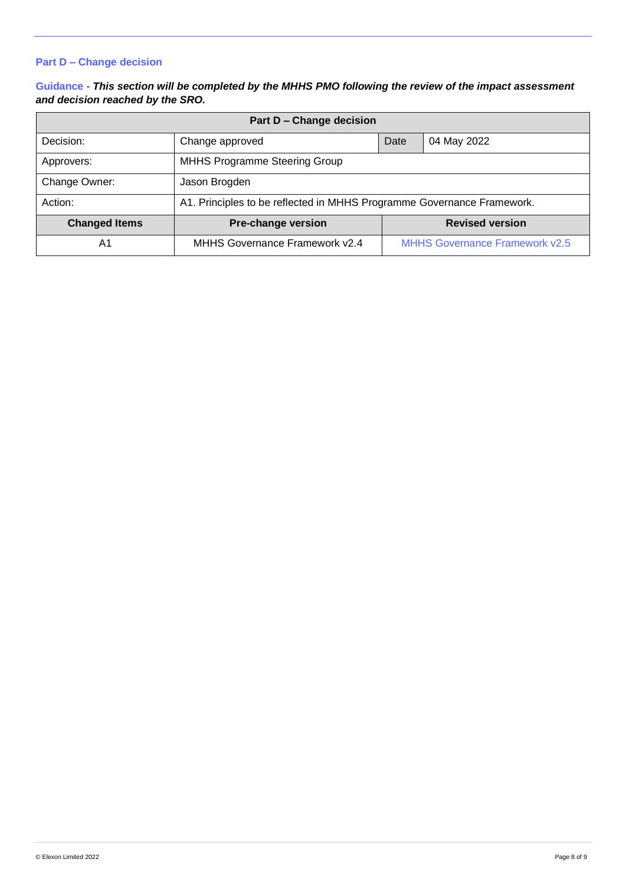# **Part D – Change decision**

# **Guidance** - *This section will be completed by the MHHS PMO following the review of the impact assessment and decision reached by the SRO.*

| <b>Part D - Change decision</b> |                                                                        |      |                                       |
|---------------------------------|------------------------------------------------------------------------|------|---------------------------------------|
| Decision:                       | Change approved                                                        | Date | 04 May 2022                           |
| Approvers:                      | MHHS Programme Steering Group                                          |      |                                       |
| Change Owner:                   | Jason Brogden                                                          |      |                                       |
| Action:                         | A1. Principles to be reflected in MHHS Programme Governance Framework. |      |                                       |
| <b>Changed Items</b>            | <b>Pre-change version</b><br><b>Revised version</b>                    |      |                                       |
| A1                              | MHHS Governance Framework v2.4                                         |      | <b>MHHS Governance Framework v2.5</b> |